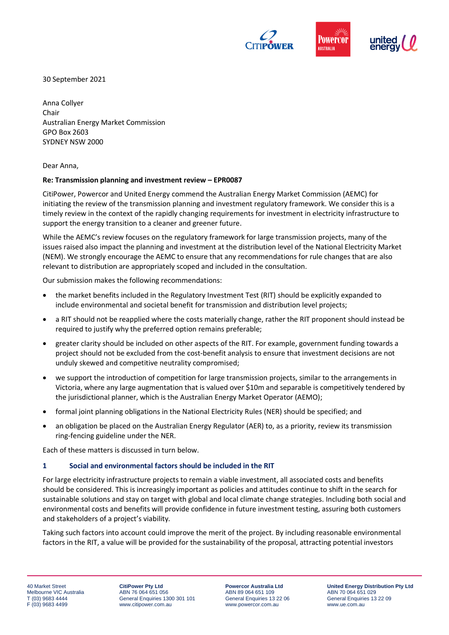

30 September 2021

Anna Collyer Chair Australian Energy Market Commission GPO Box 2603 SYDNEY NSW 2000

Dear Anna,

#### **Re: Transmission planning and investment review – EPR0087**

CitiPower, Powercor and United Energy commend the Australian Energy Market Commission (AEMC) for initiating the review of the transmission planning and investment regulatory framework. We consider this is a timely review in the context of the rapidly changing requirements for investment in electricity infrastructure to support the energy transition to a cleaner and greener future.

While the AEMC's review focuses on the regulatory framework for large transmission projects, many of the issues raised also impact the planning and investment at the distribution level of the National Electricity Market (NEM). We strongly encourage the AEMC to ensure that any recommendations for rule changes that are also relevant to distribution are appropriately scoped and included in the consultation.

Our submission makes the following recommendations:

- the market benefits included in the Regulatory Investment Test (RIT) should be explicitly expanded to include environmental and societal benefit for transmission and distribution level projects;
- a RIT should not be reapplied where the costs materially change, rather the RIT proponent should instead be required to justify why the preferred option remains preferable;
- greater clarity should be included on other aspects of the RIT. For example, government funding towards a project should not be excluded from the cost-benefit analysis to ensure that investment decisions are not unduly skewed and competitive neutrality compromised;
- we support the introduction of competition for large transmission projects, similar to the arrangements in Victoria, where any large augmentation that is valued over \$10m and separable is competitively tendered by the jurisdictional planner, which is the Australian Energy Market Operator (AEMO);
- formal joint planning obligations in the National Electricity Rules (NER) should be specified; and
- an obligation be placed on the Australian Energy Regulator (AER) to, as a priority, review its transmission ring-fencing guideline under the NER.

Each of these matters is discussed in turn below.

#### **1 Social and environmental factors should be included in the RIT**

For large electricity infrastructure projects to remain a viable investment, all associated costs and benefits should be considered. This is increasingly important as policies and attitudes continue to shift in the search for sustainable solutions and stay on target with global and local climate change strategies. Including both social and environmental costs and benefits will provide confidence in future investment testing, assuring both customers and stakeholders of a project's viability*.* 

Taking such factors into account could improve the merit of the project. By including reasonable environmental factors in the RIT, a value will be provided for the sustainability of the proposal, attracting potential investors

**CitiPower Pty Ltd** ABN 76 064 651 056 General Enquiries 1300 301 101 www.citipower.com.au

**Powercor Australia Ltd** ABN 89 064 651 109 General Enquiries 13 22 06 www.powercor.com.au

**United Energy Distribution Pty Ltd** ABN 70 064 651 029 General Enquiries 13 22 09 www.ue.com.au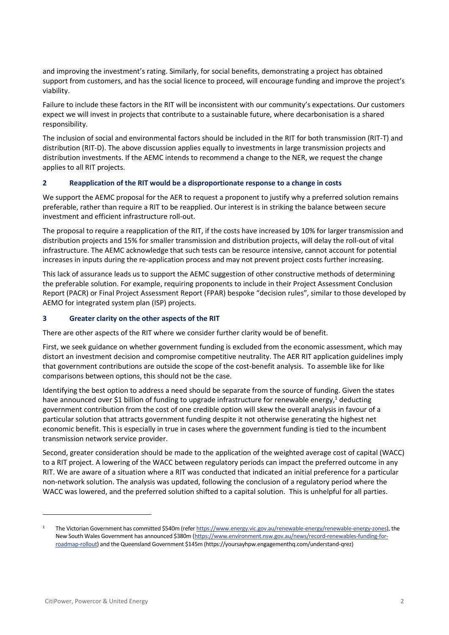and improving the investment's rating. Similarly, for social benefits, demonstrating a project has obtained support from customers, and has the social licence to proceed, will encourage funding and improve the project's viability.

Failure to include these factors in the RIT will be inconsistent with our community's expectations. Our customers expect we will invest in projects that contribute to a sustainable future, where decarbonisation is a shared responsibility.

The inclusion of social and environmental factors should be included in the RIT for both transmission (RIT-T) and distribution (RIT-D). The above discussion applies equally to investments in large transmission projects and distribution investments. If the AEMC intends to recommend a change to the NER, we request the change applies to all RIT projects.

## **2 Reapplication of the RIT would be a disproportionate response to a change in costs**

We support the AEMC proposal for the AER to request a proponent to justify why a preferred solution remains preferable, rather than require a RIT to be reapplied. Our interest is in striking the balance between secure investment and efficient infrastructure roll-out.

The proposal to require a reapplication of the RIT, if the costs have increased by 10% for larger transmission and distribution projects and 15% for smaller transmission and distribution projects, will delay the roll-out of vital infrastructure. The AEMC acknowledge that such tests can be resource intensive, cannot account for potential increases in inputs during the re-application process and may not prevent project costs further increasing.

This lack of assurance leads us to support the AEMC suggestion of other constructive methods of determining the preferable solution. For example, requiring proponents to include in their Project Assessment Conclusion Report (PACR) or Final Project Assessment Report (FPAR) bespoke "decision rules", similar to those developed by AEMO for integrated system plan (ISP) projects.

#### **3 Greater clarity on the other aspects of the RIT**

There are other aspects of the RIT where we consider further clarity would be of benefit.

First, we seek guidance on whether government funding is excluded from the economic assessment, which may distort an investment decision and compromise competitive neutrality. The AER RIT application guidelines imply that government contributions are outside the scope of the cost-benefit analysis. To assemble like for like comparisons between options, this should not be the case.

Identifying the best option to address a need should be separate from the source of funding. Given the states have announced over \$1 billion of funding to upgrade infrastructure for renewable energy,<sup>1</sup> deducting government contribution from the cost of one credible option will skew the overall analysis in favour of a particular solution that attracts government funding despite it not otherwise generating the highest net economic benefit. This is especially in true in cases where the government funding is tied to the incumbent transmission network service provider.

Second, greater consideration should be made to the application of the weighted average cost of capital (WACC) to a RIT project. A lowering of the WACC between regulatory periods can impact the preferred outcome in any RIT. We are aware of a situation where a RIT was conducted that indicated an initial preference for a particular non-network solution. The analysis was updated, following the conclusion of a regulatory period where the WACC was lowered, and the preferred solution shifted to a capital solution. This is unhelpful for all parties.

<sup>1</sup> The Victorian Government has committed \$540m (refe[r https://www.energy.vic.gov.au/renewable-energy/renewable-energy-zones\)](https://www.energy.vic.gov.au/renewable-energy/renewable-energy-zones), the New South Wales Government has announced \$380m [\(https://www.environment.nsw.gov.au/news/record-renewables-funding-for](https://www.environment.nsw.gov.au/news/record-renewables-funding-for-roadmap-rollout)[roadmap-rollout\)](https://www.environment.nsw.gov.au/news/record-renewables-funding-for-roadmap-rollout) and the Queensland Government \$145m (https://yoursayhpw.engagementhq.com/understand-qrez)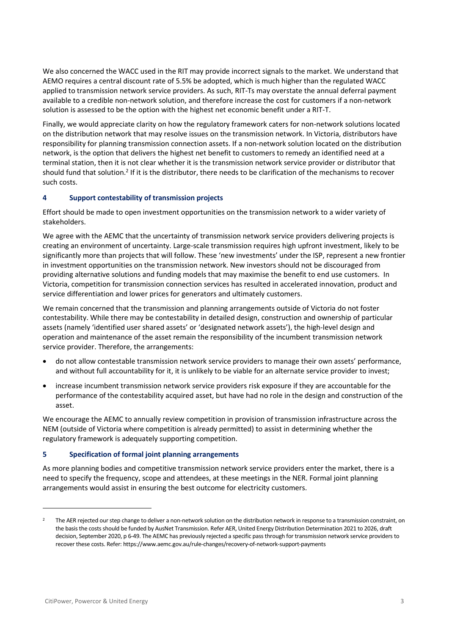We also concerned the WACC used in the RIT may provide incorrect signals to the market. We understand that AEMO requires a central discount rate of 5.5% be adopted, which is much higher than the regulated WACC applied to transmission network service providers. As such, RIT-Ts may overstate the annual deferral payment available to a credible non-network solution, and therefore increase the cost for customers if a non-network solution is assessed to be the option with the highest net economic benefit under a RIT-T.

Finally, we would appreciate clarity on how the regulatory framework caters for non-network solutions located on the distribution network that may resolve issues on the transmission network. In Victoria, distributors have responsibility for planning transmission connection assets. If a non-network solution located on the distribution network, is the option that delivers the highest net benefit to customers to remedy an identified need at a terminal station, then it is not clear whether it is the transmission network service provider or distributor that should fund that solution.<sup>2</sup> If it is the distributor, there needs to be clarification of the mechanisms to recover such costs.

## **4 Support contestability of transmission projects**

Effort should be made to open investment opportunities on the transmission network to a wider variety of stakeholders.

We agree with the AEMC that the uncertainty of transmission network service providers delivering projects is creating an environment of uncertainty. Large-scale transmission requires high upfront investment, likely to be significantly more than projects that will follow. These 'new investments' under the ISP, represent a new frontier in investment opportunities on the transmission network. New investors should not be discouraged from providing alternative solutions and funding models that may maximise the benefit to end use customers. In Victoria, competition for transmission connection services has resulted in accelerated innovation, product and service differentiation and lower prices for generators and ultimately customers.

We remain concerned that the transmission and planning arrangements outside of Victoria do not foster contestability. While there may be contestability in detailed design, construction and ownership of particular assets (namely 'identified user shared assets' or 'designated network assets'), the high-level design and operation and maintenance of the asset remain the responsibility of the incumbent transmission network service provider. Therefore, the arrangements:

- do not allow contestable transmission network service providers to manage their own assets' performance, and without full accountability for it, it is unlikely to be viable for an alternate service provider to invest;
- increase incumbent transmission network service providers risk exposure if they are accountable for the performance of the contestability acquired asset, but have had no role in the design and construction of the asset.

We encourage the AEMC to annually review competition in provision of transmission infrastructure across the NEM (outside of Victoria where competition is already permitted) to assist in determining whether the regulatory framework is adequately supporting competition.

# **5 Specification of formal joint planning arrangements**

As more planning bodies and competitive transmission network service providers enter the market, there is a need to specify the frequency, scope and attendees, at these meetings in the NER. Formal joint planning arrangements would assist in ensuring the best outcome for electricity customers.

<sup>2</sup> The AER rejected our step change to deliver a non-network solution on the distribution network in response to a transmission constraint, on the basis the costs should be funded by AusNet Transmission. Refer AER, United Energy Distribution Determination 2021 to 2026, draft decision, September 2020, p 6-49. The AEMC has previously rejected a specific pass through for transmission network service providers to recover these costs. Refer: https://www.aemc.gov.au/rule-changes/recovery-of-network-support-payments